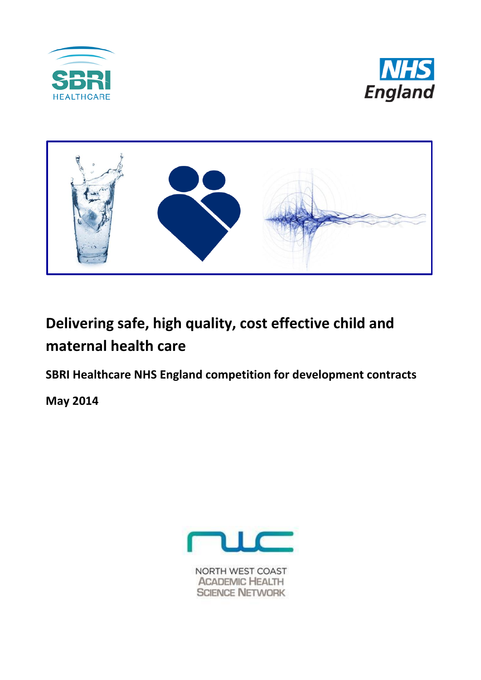





# **Delivering safe, high quality, cost effective child and maternal health care**

**SBRI Healthcare NHS England competition for development contracts** 

**May 2014**



NORTH WEST COAST **ACADEMIC HEALTH SCIENCE NETWORK**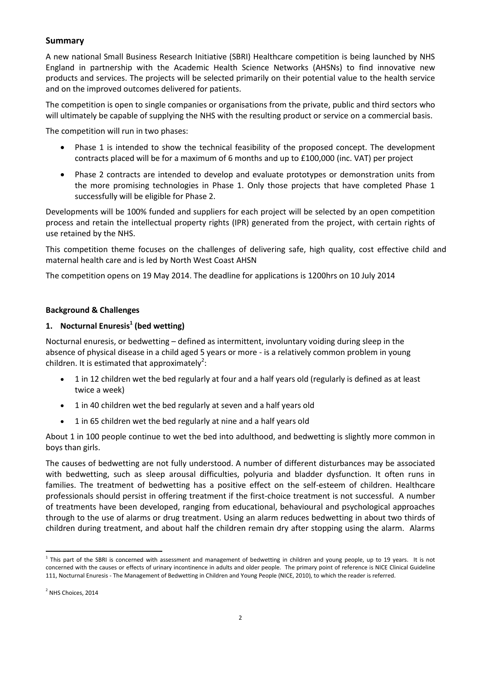#### **Summary**

A new national Small Business Research Initiative (SBRI) Healthcare competition is being launched by NHS England in partnership with the Academic Health Science Networks (AHSNs) to find innovative new products and services. The projects will be selected primarily on their potential value to the health service and on the improved outcomes delivered for patients.

The competition is open to single companies or organisations from the private, public and third sectors who will ultimately be capable of supplying the NHS with the resulting product or service on a commercial basis.

The competition will run in two phases:

- Phase 1 is intended to show the technical feasibility of the proposed concept. The development contracts placed will be for a maximum of 6 months and up to £100,000 (inc. VAT) per project
- Phase 2 contracts are intended to develop and evaluate prototypes or demonstration units from the more promising technologies in Phase 1. Only those projects that have completed Phase 1 successfully will be eligible for Phase 2.

Developments will be 100% funded and suppliers for each project will be selected by an open competition process and retain the intellectual property rights (IPR) generated from the project, with certain rights of use retained by the NHS.

This competition theme focuses on the challenges of delivering safe, high quality, cost effective child and maternal health care and is led by North West Coast AHSN

The competition opens on 19 May 2014. The deadline for applications is 1200hrs on 10 July 2014

#### **Background & Challenges**

#### **1. Nocturnal Enuresis<sup>1</sup> (bed wetting)**

Nocturnal enuresis, or bedwetting – defined as intermittent, involuntary voiding during sleep in the absence of physical disease in a child aged 5 years or more - is a relatively common problem in young children. It is estimated that approximately<sup>2</sup>:

- <span id="page-1-0"></span> 1 in 12 children wet the bed regularly at four and a half years old (regularly is defined as at least twice a week)
- 1 in 40 children wet the bed regularly at seven and a half years old
- 1 in 65 children wet the bed regularly at nine and a half years old

About 1 in 100 people continue to wet the bed into adulthood, and bedwetting is slightly more common in boys than girls.

The causes of bedwetting are not fully understood. A number of different disturbances may be associated with bedwetting, such as sleep arousal difficulties, polyuria and bladder dysfunction. It often runs in families. The treatment of bedwetting has a positive effect on the self-esteem of children. Healthcare professionals should persist in offering treatment if the first-choice treatment is not successful. A number of treatments have been developed, ranging from educational, behavioural and psychological approaches through to the use of alarms or drug treatment. Using an alarm reduces bedwetting in about two thirds of children during treatment, and about half the children remain dry after stopping using the alarm. Alarms

**.** 

<sup>&</sup>lt;sup>1</sup> This part of the SBRI is concerned with assessment and management of bedwetting in children and young people, up to 19 years. It is not concerned with the causes or effects of urinary incontinence in adults and older people. The primary point of reference is NICE Clinical Guideline 111, Nocturnal Enuresis - The Management of Bedwetting in Children and Young People (NICE, 2010), to which the reader is referred.

<sup>&</sup>lt;sup>2</sup> NHS Choices, 2014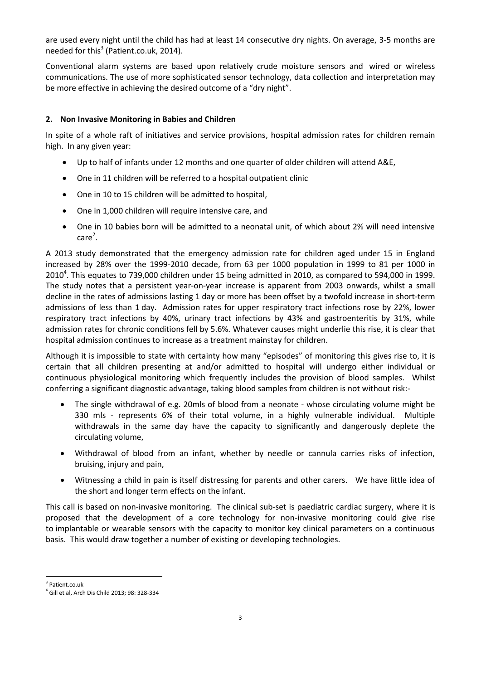are used every night until the child has had at least 14 consecutive dry nights. On average, 3-5 months are needed for this<sup>3</sup> (Patient.co.uk, 2014).

Conventional alarm systems are based upon relatively crude moisture sensors and wired or wireless communications. The use of more sophisticated sensor technology, data collection and interpretation may be more effective in achieving the desired outcome of a "dry night".

#### **2. Non Invasive Monitoring in Babies and Children**

In spite of a whole raft of initiatives and service provisions, hospital admission rates for children remain high. In any given year:

- Up to half of infants under 12 months and one quarter of older children will attend A&E,
- One in 11 children will be referred to a hospital outpatient clinic
- One in 10 to 15 children will be admitted to hospital,
- One in 1,000 children will require intensive care, and
- One in 10 babies born will be admitted to a neonatal unit, of which about 2% will need intensive  $care<sup>2</sup>$  $care<sup>2</sup>$  $care<sup>2</sup>$ .

A 2013 study demonstrated that the emergency admission rate for children aged under 15 in England increased by 28% over the 1999-2010 decade, from 63 per 1000 population in 1999 to 81 per 1000 in 2010<sup>4</sup>. This equates to 739,000 children under 15 being admitted in 2010, as compared to 594,000 in 1999. The study notes that a persistent year-on-year increase is apparent from 2003 onwards, whilst a small decline in the rates of admissions lasting 1 day or more has been offset by a twofold increase in short-term admissions of less than 1 day. Admission rates for upper respiratory tract infections rose by 22%, lower respiratory tract infections by 40%, urinary tract infections by 43% and gastroenteritis by 31%, while admission rates for chronic conditions fell by 5.6%. Whatever causes might underlie this rise, it is clear that hospital admission continues to increase as a treatment mainstay for children.

Although it is impossible to state with certainty how many "episodes" of monitoring this gives rise to, it is certain that all children presenting at and/or admitted to hospital will undergo either individual or continuous physiological monitoring which frequently includes the provision of blood samples. Whilst conferring a significant diagnostic advantage, taking blood samples from children is not without risk:-

- The single withdrawal of e.g. 20mls of blood from a neonate whose circulating volume might be 330 mls - represents 6% of their total volume, in a highly vulnerable individual. Multiple withdrawals in the same day have the capacity to significantly and dangerously deplete the circulating volume,
- Withdrawal of blood from an infant, whether by needle or cannula carries risks of infection, bruising, injury and pain,
- Witnessing a child in pain is itself distressing for parents and other carers. We have little idea of the short and longer term effects on the infant.

This call is based on non-invasive monitoring. The clinical sub-set is paediatric cardiac surgery, where it is proposed that the development of a core technology for non-invasive monitoring could give rise to implantable or wearable sensors with the capacity to monitor key clinical parameters on a continuous basis. This would draw together a number of existing or developing technologies.

**<sup>.</sup>** 3 Patient.co.uk

<sup>4</sup> Gill et al, Arch Dis Child 2013; 98: 328-334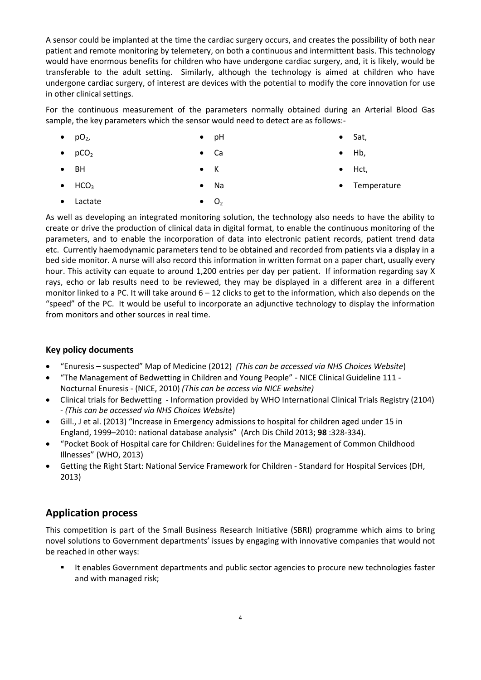A sensor could be implanted at the time the cardiac surgery occurs, and creates the possibility of both near patient and remote monitoring by telemetery, on both a continuous and intermittent basis. This technology would have enormous benefits for children who have undergone cardiac surgery, and, it is likely, would be transferable to the adult setting. Similarly, although the technology is aimed at children who have undergone cardiac surgery, of interest are devices with the potential to modify the core innovation for use in other clinical settings.

For the continuous measurement of the parameters normally obtained during an Arterial Blood Gas sample, the key parameters which the sensor would need to detect are as follows:-

- $pO<sub>2</sub>$  pH
	- Ca

K

Sat,

 $\bullet$  pCO<sub>2</sub>

- $\bullet$  BH
- $\bullet$  HCO<sub>3</sub> Na
- Lactate  $O<sub>2</sub>$

As well as developing an integrated monitoring solution, the technology also needs to have the ability to create or drive the production of clinical data in digital format, to enable the continuous monitoring of the parameters, and to enable the incorporation of data into electronic patient records, patient trend data etc. Currently haemodynamic parameters tend to be obtained and recorded from patients via a display in a bed side monitor. A nurse will also record this information in written format on a paper chart, usually every hour. This activity can equate to around 1,200 entries per day per patient. If information regarding say X rays, echo or lab results need to be reviewed, they may be displayed in a different area in a different monitor linked to a PC. It will take around 6 – 12 clicks to get to the information, which also depends on the "speed" of the PC. It would be useful to incorporate an adjunctive technology to display the information from monitors and other sources in real time.

## **Key policy documents**

- "Enuresis suspected" Map of Medicine (2012) *(This can be accessed via NHS Choices Website*)
- "The Management of Bedwetting in Children and Young People" NICE Clinical Guideline 111 Nocturnal Enuresis - (NICE, 2010) *(This can be access via NICE website)*
- Clinical trials for Bedwetting Information provided by WHO International Clinical Trials Registry (2104) - *(This can be accessed via NHS Choices Website*)
- Gill., J et al. (2013) "Increase in Emergency admissions to hospital for children aged under 15 in England, 1999–2010: national database analysis" (Arch Dis Child 2013; **98** :328-334).
- "Pocket Book of Hospital care for Children: Guidelines for the Management of Common Childhood Illnesses" (WHO, 2013)
- Getting the Right Start: National Service Framework for Children Standard for Hospital Services (DH, 2013)

# **Application process**

This competition is part of the Small Business Research Initiative (SBRI) programme which aims to bring novel solutions to Government departments' issues by engaging with innovative companies that would not be reached in other ways:

 It enables Government departments and public sector agencies to procure new technologies faster and with managed risk;

- $\bullet$  Hb,
- Hct,
	- Temperature
-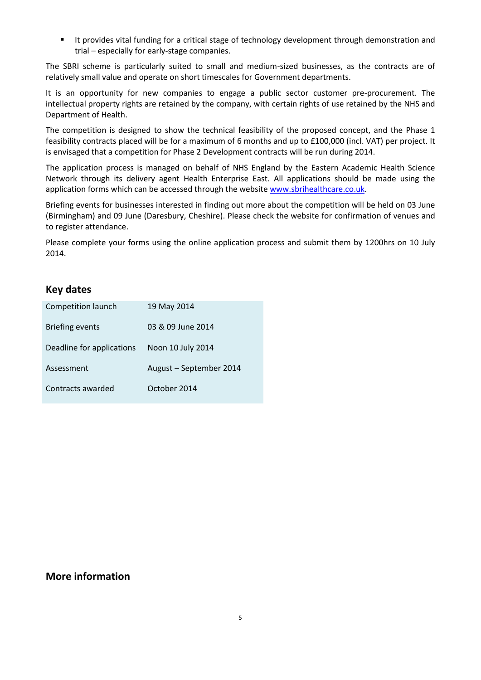It provides vital funding for a critical stage of technology development through demonstration and trial – especially for early-stage companies.

The SBRI scheme is particularly suited to small and medium-sized businesses, as the contracts are of relatively small value and operate on short timescales for Government departments.

It is an opportunity for new companies to engage a public sector customer pre-procurement. The intellectual property rights are retained by the company, with certain rights of use retained by the NHS and Department of Health.

The competition is designed to show the technical feasibility of the proposed concept, and the Phase 1 feasibility contracts placed will be for a maximum of 6 months and up to £100,000 (incl. VAT) per project. It is envisaged that a competition for Phase 2 Development contracts will be run during 2014.

The application process is managed on behalf of NHS England by the Eastern Academic Health Science Network through its delivery agent Health Enterprise East. All applications should be made using the application forms which can be accessed through the website [www.sbrihealthcare.co.uk.](http://www.sbrihealthcare.co.uk/)

Briefing events for businesses interested in finding out more about the competition will be held on 03 June (Birmingham) and 09 June (Daresbury, Cheshire). Please check the website for confirmation of venues and to register attendance.

Please complete your forms using the online application process and submit them by 1200hrs on 10 July 2014.

## **Key dates**

| Competition launch        | 19 May 2014             |
|---------------------------|-------------------------|
| <b>Briefing events</b>    | 03 & 09 June 2014       |
| Deadline for applications | Noon 10 July 2014       |
| Assessment                | August - September 2014 |
| Contracts awarded         | October 2014            |

## **More information**